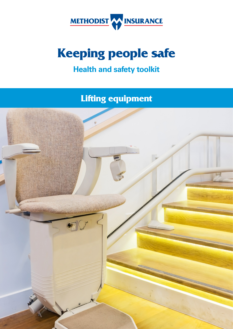

# **Keeping people safe**

## **Health and safety toolkit**

**Lifting equipment** 

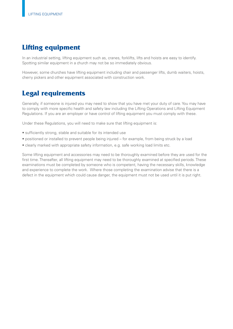### **Lifting equipment**

In an industrial setting, lifting equipment such as, cranes, forklifts, lifts and hoists are easy to identify. Spotting similar equipment in a church may not be so immediately obvious.

However, some churches have lifting equipment including chair and passenger lifts, dumb waiters, hoists, cherry pickers and other equipment associated with construction work.

### **Legal requirements**

Generally, if someone is injured you may need to show that you have met your duty of care. You may have to comply with more specific health and safety law including the Lifting Operations and Lifting Equipment Regulations. If you are an employer or have control of lifting equipment you must comply with these.

Under these Regulations, you will need to make sure that lifting equipment is:

- sufficiently strong, stable and suitable for its intended use
- positioned or installed to prevent people being injured for example, from being struck by a load
- clearly marked with appropriate safety information, e.g. safe working load limits etc.

Some lifting equipment and accessories may need to be thoroughly examined before they are used for the first time. Thereafter, all lifting equipment may need to be thoroughly examined at specified periods. These examinations must be completed by someone who is competent, having the necessary skills, knowledge and experience to complete the work. Where those completing the examination advise that there is a defect in the equipment which could cause danger, the equipment must not be used until it is put right.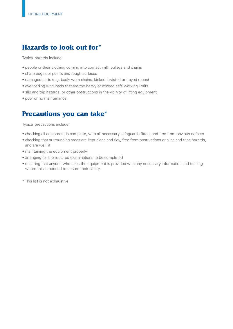### **Hazards to look out for\***

Typical hazards include:

- people or their clothing coming into contact with pulleys and chains
- sharp edges or points and rough surfaces
- damaged parts (e.g. badly worn chains; kinked, twisted or frayed ropes)
- overloading with loads that are too heavy or exceed safe working limits
- slip and trip hazards, or other obstructions in the vicinity of lifting equipment
- poor or no maintenance.

### **Precautions you can take\***

Typical precautions include:

- checking all equipment is complete, with all necessary safeguards ftted, and free from obvious defects
- checking that surrounding areas are kept clean and tidy, free from obstructions or slips and trips hazards, and are well lit
- maintaining the equipment properly
- arranging for the required examinations to be completed
- ensuring that anyone who uses the equipment is provided with any necessary information and training where this is needed to ensure their safety.
- \* This list is not exhaustive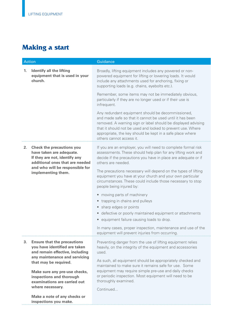### **Making a start**

| <b>Action</b>  |                                                                                                                                                                                           | Guidance                                                                                                                                                                                                                                                                                                                                                                                                         |
|----------------|-------------------------------------------------------------------------------------------------------------------------------------------------------------------------------------------|------------------------------------------------------------------------------------------------------------------------------------------------------------------------------------------------------------------------------------------------------------------------------------------------------------------------------------------------------------------------------------------------------------------|
| 1.             | <b>Identify all the lifting</b><br>equipment that is used in your<br>church.                                                                                                              | Broadly, lifting equipment includes any powered or non-<br>powered equipment for lifting or lowering loads. It would<br>include any attachments used for anchoring, fixing or<br>supporting loads (e.g. chains, eyebolts etc.).                                                                                                                                                                                  |
|                |                                                                                                                                                                                           | Remember, some items may not be immediately obvious,<br>particularly if they are no longer used or if their use is<br>infrequent.                                                                                                                                                                                                                                                                                |
|                |                                                                                                                                                                                           | Any redundant equipment should be decommissioned,<br>and made safe so that it cannot be used until it has been<br>removed. A warning sign or label should be displayed advising<br>that it should not be used and locked to prevent use. Where<br>appropriate, the key should be kept in a safe place where<br>others cannot access it.                                                                          |
| 2 <sub>1</sub> | <b>Check the precautions you</b><br>have taken are adequate.<br>If they are not, identify any<br>additional ones that are needed<br>and who will be responsible for<br>implementing them. | If you are an employer, you will need to complete formal risk<br>assessments. These should help plan for any lifting work and<br>decide if the precautions you have in place are adequate or if<br>others are needed.                                                                                                                                                                                            |
|                |                                                                                                                                                                                           | The precautions necessary will depend on the types of lifting<br>equipment you have at your church and your own particular<br>circumstances. These could include those necessary to stop<br>people being injured by:                                                                                                                                                                                             |
|                |                                                                                                                                                                                           | • moving parts of machinery<br>trapping in chains and pulleys<br>$\bullet$<br>• sharp edges or points<br>· defective or poorly maintained equipment or attachments<br>• equipment failure causing loads to drop.                                                                                                                                                                                                 |
|                |                                                                                                                                                                                           | In many cases, proper inspection, maintenance and use of the<br>equipment will prevent injuries from occurring.                                                                                                                                                                                                                                                                                                  |
| 3.             | <b>Ensure that the precautions</b><br>you have identified are taken<br>and remain effective, including<br>any maintenance and servicing<br>that may be required.                          | Preventing danger from the use of lifting equipment relies<br>heavily, on the integrity of the equipment and accessories<br>used.<br>As such, all equipment should be appropriately checked and<br>maintained to make sure it remains safe for use. Some<br>equipment may require simple pre-use and daily checks<br>or periodic inspection. Most equipment will need to be<br>thoroughly examined.<br>Continued |
|                | Make sure any pre-use checks,<br>inspections and thorough<br>examinations are carried out<br>where necessary.                                                                             |                                                                                                                                                                                                                                                                                                                                                                                                                  |
|                | Make a note of any checks or<br>inspections you make.                                                                                                                                     |                                                                                                                                                                                                                                                                                                                                                                                                                  |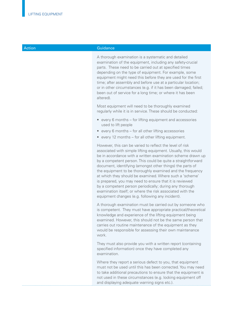#### Action **Guidance**

A thorough examination is a systematic and detailed examination of the equipment, including any safety-crucial parts. These need to be carried out at specifed times depending on the type of equipment. For example, some equipment might need this before they are used for the first time; after assembly and before use at a particular location; or in other circumstances (e.g. if it has been damaged; failed; been out of service for a long time; or where it has been altered).

Most equipment will need to be thoroughly examined regularly while it is in service. These should be conducted:

- • every 6 months for lifting equipment and accessories used to lift people
- every 6 months for all other lifting accessories
- every 12 months for all other lifting equipment.

However, this can be varied to reflect the level of risk associated with simple lifting equipment. Usually, this would be in accordance with a written examination scheme drawn up by a competent person. This could be quite a straightforward document, identifying (amongst other things) the parts of the equipment to be thoroughly examined and the frequency at which they should be examined. Where such a 'scheme' is prepared, you may need to ensure that it is reviewed by a competent person periodically; during any thorough examination itself; or where the risk associated with the equipment changes (e.g. following any incident).

A thorough examination must be carried out by someone who is competent. They must have appropriate practical/theoretical knowledge and experience of the lifting equipment being examined. However, this should not be the same person that carries out routine maintenance of the equipment as they would be responsible for assessing their own maintenance work.

They must also provide you with a written report (containing specified information) once they have completed any examination.

Where they report a serious defect to you, that equipment must not be used until this has been corrected. You may need to take additional precautions to ensure that the equipment is not used in these circumstances (e.g. locking equipment off and displaying adequate warning signs etc.).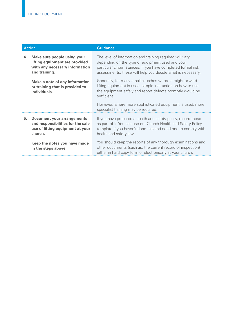| <b>Action</b> |                                                                                                                       | Guidance                                                                                                                                                                                                                                  |
|---------------|-----------------------------------------------------------------------------------------------------------------------|-------------------------------------------------------------------------------------------------------------------------------------------------------------------------------------------------------------------------------------------|
| 4.            | Make sure people using your<br>lifting equipment are provided<br>with any necessary information<br>and training.      | The level of information and training required will vary<br>depending on the type of equipment used and your<br>particular circumstances. If you have completed formal risk<br>assessments, these will help you decide what is necessary. |
|               | <b>Make a note of any information</b><br>or training that is provided to<br>individuals.                              | Generally, for many small churches where straightforward<br>lifting equipment is used, simple instruction on how to use<br>the equipment safely and report defects promptly would be<br>sufficient.                                       |
|               |                                                                                                                       | However, where more sophisticated equipment is used, more<br>specialist training may be required.                                                                                                                                         |
| 5.            | <b>Document your arrangements</b><br>and responsibilities for the safe<br>use of lifting equipment at your<br>church. | If you have prepared a health and safety policy, record these<br>as part of it. You can use our Church Health and Safety Policy<br>template if you haven't done this and need one to comply with<br>health and safety law.                |
|               | Keep the notes you have made<br>in the steps above.                                                                   | You should keep the reports of any thorough examinations and<br>other documents (such as, the current record of inspection)<br>either in hard copy form or electronically at your church.                                                 |